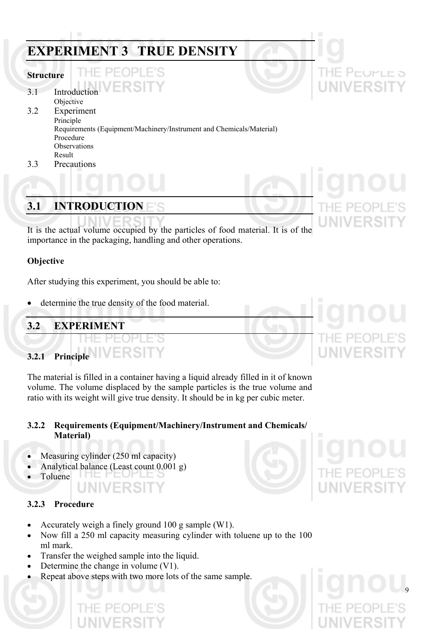# **EXPERIMENT 3 TRUE DENSITY**

#### **Structure**

- 3.1 Introduction
- Objective 3.2 Experiment Principle Requirements (Equipment/Machinery/Instrument and Chemicals/Material) Procedure **Observations** Result
- 3.3 Precautions

# **3.1 INTRODUCTION**

It is the actual volume occupied by the particles of food material. It is of the importance in the packaging, handling and other operations.

## **Objective**

After studying this experiment, you should be able to:

determine the true density of the food material.

## **3.2 EXPERIMENT**

# **3.2.1 Principle**

The material is filled in a container having a liquid already filled in it of known volume. The volume displaced by the sample particles is the true volume and ratio with its weight will give true density. It should be in kg per cubic meter.

## **3.2.2 Requirements (Equipment/Machinery/Instrument and Chemicals/ Material)**

- Measuring cylinder (250 ml capacity)
- Analytical balance (Least count 0.001 g) 10 PEUPLE
- Toluene

## **3.2.3 Procedure**

• Accurately weigh a finely ground 100 g sample (W1).

NIVERSIT

- Now fill a 250 ml capacity measuring cylinder with toluene up to the 100 ml mark.
- Transfer the weighed sample into the liquid.
- Determine the change in volume (V1).
- Repeat above steps with two more lots of the same sample.

THE PEUPLE 5 VERSIT



9